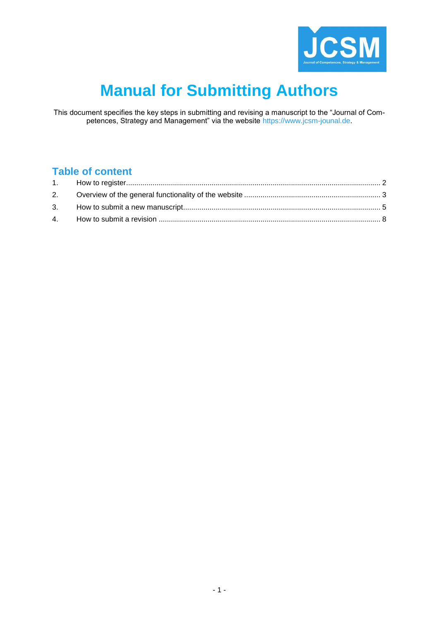

# **Manual for Submitting Authors**

This document specifies the key steps in submitting and revising a manuscript to the "Journal of Competences, Strategy and Management" via the website [https://www.jcsm-jounal.de.](https://www.jcsm-jounal.de/)

## **Table of content**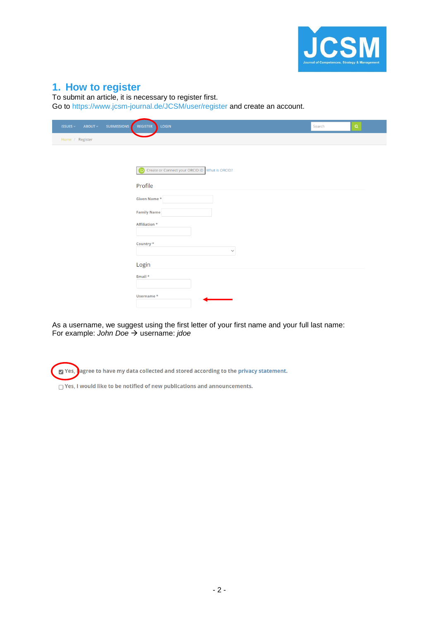

#### <span id="page-1-0"></span>**1. How to register**

To submit an article, it is necessary to register first.

Go to<https://www.jcsm-journal.de/JCSM/user/register> and create an account.

| <b>ISSUES</b> $\vee$ | ABOUT ~         | <b>SUBMISSIONS</b> | LOGIN<br><b>REGISTER</b><br>Search                    | $\mathsf{Q}$ |
|----------------------|-----------------|--------------------|-------------------------------------------------------|--------------|
|                      | Home / Register |                    |                                                       |              |
|                      |                 |                    |                                                       |              |
|                      |                 |                    | Create or Connect your ORCID iD What is ORCID?<br>(ip |              |
|                      |                 |                    | Profile                                               |              |
|                      |                 |                    | Given Name *                                          |              |
|                      |                 |                    | <b>Family Name</b>                                    |              |
|                      |                 |                    | Affiliation *                                         |              |
|                      |                 |                    | Country *<br>$\checkmark$                             |              |
|                      |                 |                    | Login                                                 |              |
|                      |                 |                    | Email *                                               |              |
|                      |                 |                    | Username*                                             |              |

As a username, we suggest using the first letter of your first name and your full last name: For example: *John Doe* → username: *jdoe*

Yes, lagree to have my data collected and stored according to the privacy statement.

 $\bigcap$  Yes, I would like to be notified of new publications and announcements.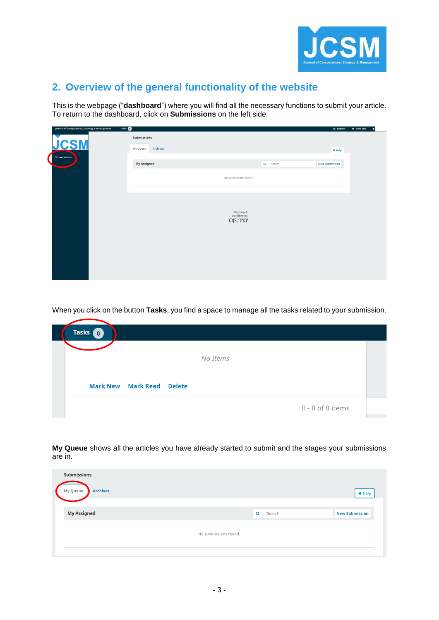

# <span id="page-2-0"></span>**2. Overview of the general functionality of the website**

This is the webpage ("**dashboard**") where you will find all the necessary functions to submit your article. To return to the dashboard, click on **Submissions** on the left side.

| Journal of Competences, Strategy & Management | Tasks <b>O</b>                             |                          |          | <b>Q</b> English<br>· View Site<br>-41 |
|-----------------------------------------------|--------------------------------------------|--------------------------|----------|----------------------------------------|
| <b>JCSM</b>                                   | Submissions<br><b>Archives</b><br>My Queue |                          |          |                                        |
|                                               |                                            |                          |          | O Help                                 |
| Submissions                                   | <b>My Assigned</b>                         |                          | Q Search | <b>New Submission</b>                  |
|                                               |                                            | No submissions found.    |          |                                        |
|                                               |                                            | Platform &               |          |                                        |
|                                               |                                            | workflow by<br>OJS / PKP |          |                                        |
|                                               |                                            |                          |          |                                        |
|                                               |                                            |                          |          |                                        |

When you click on the button **Tasks**, you find a space to manage all the tasks related to your submission.

| <b>Tasks</b><br>$\mathbf{0}$     |  |
|----------------------------------|--|
| No Items                         |  |
| <b>Mark New Mark Read Delete</b> |  |
| 0 - 0 of 0 items                 |  |

**My Queue** shows all the articles you have already started to submit and the stages your submissions are in.

| <b>Submissions</b>                 |                       |             |                       |
|------------------------------------|-----------------------|-------------|-----------------------|
| <b>Archives</b><br><b>My Queue</b> |                       |             | <b>O</b> Help         |
|                                    |                       |             |                       |
| <b>My Assigned</b>                 |                       | Q<br>Search | <b>New Submission</b> |
|                                    |                       |             |                       |
|                                    | No submissions found. |             |                       |
|                                    |                       |             |                       |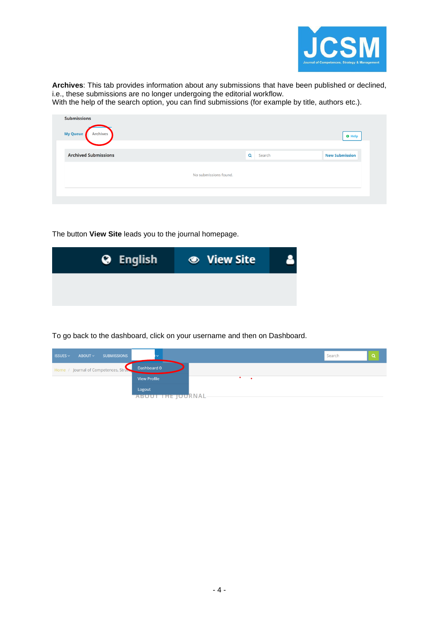

**Archives**: This tab provides information about any submissions that have been published or declined, i.e., these submissions are no longer undergoing the editorial workflow.

With the help of the search option, you can find submissions (for example by title, authors etc.).

| <b>Submissions</b><br>My Queue<br><b>Archives</b> |                       |             | <b>O</b> Help         |
|---------------------------------------------------|-----------------------|-------------|-----------------------|
| <b>Archived Submissions</b>                       |                       | Q<br>Search | <b>New Submission</b> |
|                                                   | No submissions found. |             |                       |
|                                                   |                       |             |                       |

The button **View Site** leads you to the journal homepage.

| <b>O</b> English | <b>● View Site</b> |  |
|------------------|--------------------|--|
|                  |                    |  |
|                  |                    |  |

To go back to the dashboard, click on your username and then on Dashboard.

| $ISSUES \sim$ | $ABOUT \sim$ | <b>SUBMISSIONS</b>                      |                             |
|---------------|--------------|-----------------------------------------|-----------------------------|
|               |              | Home / Journal of Competences, Strategy | Dashboard 0                 |
|               |              |                                         | <b>View Profile</b>         |
|               |              |                                         | Logout<br>ABOUT THE JOURNAL |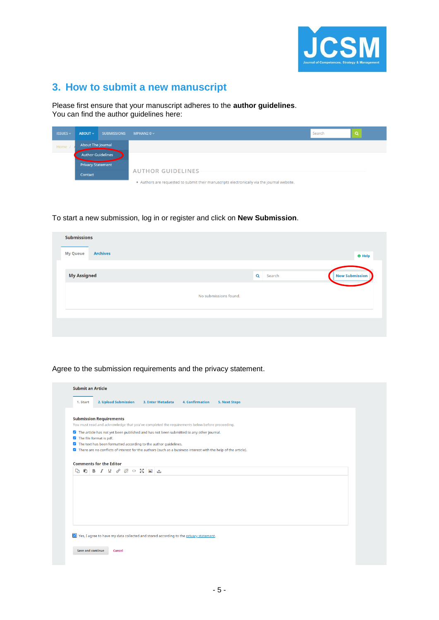

# <span id="page-4-0"></span>**3. How to submit a new manuscript**

Please first ensure that your manuscript adheres to the **author guidelines**. You can find the author guidelines here:

| <b>ISSUES <math>\sim</math></b> | $ABOUT \sim$             | <b>SUBMISSIONS</b> | MPHAN2 0 $\vee$                                                                             | Search |  |
|---------------------------------|--------------------------|--------------------|---------------------------------------------------------------------------------------------|--------|--|
| Home /                          | About The Journal        |                    |                                                                                             |        |  |
|                                 | <b>Author Guidelines</b> |                    |                                                                                             |        |  |
|                                 | <b>Privacy Statement</b> |                    |                                                                                             |        |  |
|                                 | Contact                  |                    | <b>AUTHOR GUIDELINES</b>                                                                    |        |  |
|                                 |                          |                    | . Authors are requested to submit their manuscripts electronically via the journal website. |        |  |

To start a new submission, log in or register and click on **New Submission**.

| <b>Submissions</b>                 |                       |                       |
|------------------------------------|-----------------------|-----------------------|
| <b>Archives</b><br><b>My Queue</b> |                       | <b>O</b> Help         |
|                                    |                       |                       |
| <b>My Assigned</b>                 | $\alpha$<br>Search    | <b>New Submission</b> |
|                                    | No submissions found. |                       |
|                                    |                       |                       |
|                                    |                       |                       |
|                                    |                       |                       |

Agree to the submission requirements and the privacy statement.

|                      |                                                                                                                                 | 3. Enter Metadata | <b>4. Confirmation</b> | <b>5. Next Steps</b> |  |
|----------------------|---------------------------------------------------------------------------------------------------------------------------------|-------------------|------------------------|----------------------|--|
|                      | <b>Submission Requirements</b><br>You must read and acknowledge that you've completed the requirements below before proceeding. |                   |                        |                      |  |
|                      | The article has not yet been published and has not been submitted to any other journal.<br>The file format is pdf.              |                   |                        |                      |  |
| $\blacktriangledown$ | The text has been formatted according to the author guidelines.                                                                 |                   |                        |                      |  |
|                      | 7 There are no conflicts of interest for the authors (such as a business interest with the help of the article).                |                   |                        |                      |  |
|                      |                                                                                                                                 |                   |                        |                      |  |
| D.                   | $\bullet$ B $I$ $\sqcup$ $\circ$ $\gg$ $\circ$ $\boxtimes$ $\boxtimes$ $\sqcup$                                                 |                   |                        |                      |  |
|                      |                                                                                                                                 |                   |                        |                      |  |
|                      |                                                                                                                                 |                   |                        |                      |  |
|                      |                                                                                                                                 |                   |                        |                      |  |
|                      |                                                                                                                                 |                   |                        |                      |  |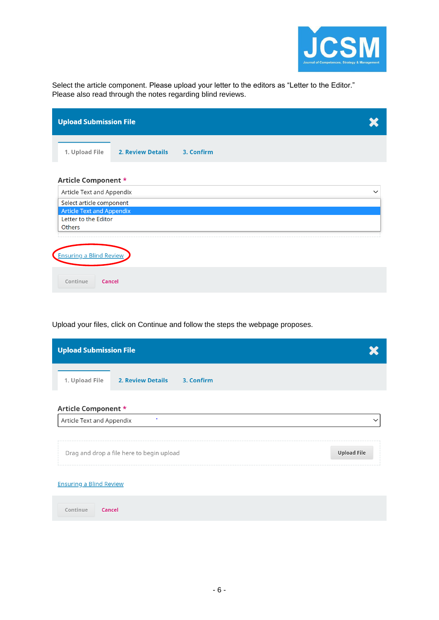

Select the article component. Please upload your letter to the editors as "Letter to the Editor." Please also read through the notes regarding blind reviews.

|                                  | <b>Upload Submission File</b> |            |   |  |  |  |  |  |
|----------------------------------|-------------------------------|------------|---|--|--|--|--|--|
| 1. Upload File                   | <b>2. Review Details</b>      | 3. Confirm |   |  |  |  |  |  |
| Article Component *              |                               |            |   |  |  |  |  |  |
| Article Text and Appendix        |                               |            | ╰ |  |  |  |  |  |
| Select article component         |                               |            |   |  |  |  |  |  |
| <b>Article Text and Appendix</b> |                               |            |   |  |  |  |  |  |
| Letter to the Editor             |                               |            |   |  |  |  |  |  |
| <b>Others</b>                    |                               |            |   |  |  |  |  |  |
|                                  |                               |            |   |  |  |  |  |  |
| Ensuring a Blind Review          |                               |            |   |  |  |  |  |  |
| Continue                         | Cancel                        |            |   |  |  |  |  |  |

Upload your files, click on Continue and follow the steps the webpage proposes.

| <b>Upload Submission File</b>                            |                    |  |  |  |  |  |  |
|----------------------------------------------------------|--------------------|--|--|--|--|--|--|
| 1. Upload File<br><b>2. Review Details</b><br>3. Confirm |                    |  |  |  |  |  |  |
| Article Component *                                      |                    |  |  |  |  |  |  |
| Article Text and Appendix                                |                    |  |  |  |  |  |  |
| Drag and drop a file here to begin upload                | <b>Upload File</b> |  |  |  |  |  |  |
| <b>Ensuring a Blind Review</b>                           |                    |  |  |  |  |  |  |
| Continue<br>Cancel                                       |                    |  |  |  |  |  |  |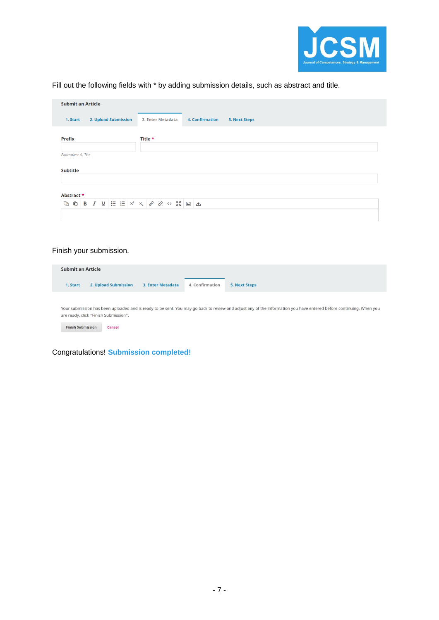

Fill out the following fields with \* by adding submission details, such as abstract and title.

|                  | <b>Submit an Article</b> |                      |  |         |                   |  |                        |                      |  |  |  |  |  |  |
|------------------|--------------------------|----------------------|--|---------|-------------------|--|------------------------|----------------------|--|--|--|--|--|--|
| 1. Start         |                          | 2. Upload Submission |  |         | 3. Enter Metadata |  | <b>4. Confirmation</b> | <b>5. Next Steps</b> |  |  |  |  |  |  |
| <b>Prefix</b>    |                          |                      |  | Title * |                   |  |                        |                      |  |  |  |  |  |  |
| Examples: A, The |                          |                      |  |         |                   |  |                        |                      |  |  |  |  |  |  |
| Subtitle         |                          |                      |  |         |                   |  |                        |                      |  |  |  |  |  |  |
|                  |                          |                      |  |         |                   |  |                        |                      |  |  |  |  |  |  |
| Abstract *       |                          |                      |  |         |                   |  |                        |                      |  |  |  |  |  |  |

#### Finish your submission.

| <b>Submit an Article</b> |                                       |                   |                 |                                                                                                                                                                     |
|--------------------------|---------------------------------------|-------------------|-----------------|---------------------------------------------------------------------------------------------------------------------------------------------------------------------|
| 1. Start                 | 2. Upload Submission                  | 3. Enter Metadata | 4. Confirmation | 5. Next Steps                                                                                                                                                       |
|                          |                                       |                   |                 |                                                                                                                                                                     |
|                          | are ready, click "Finish Submission". |                   |                 | Your submission has been uploaded and is ready to be sent. You may go back to review and adjust any of the information you have entered before continuing. When you |
| <b>Finish Submission</b> | Cancel                                |                   |                 |                                                                                                                                                                     |
|                          |                                       |                   |                 |                                                                                                                                                                     |

Congratulations! **Submission completed!**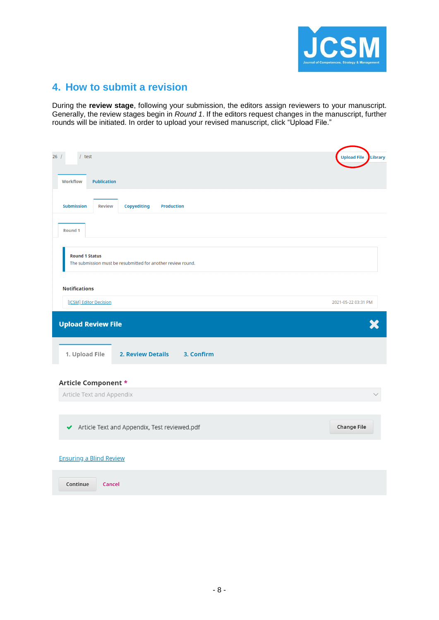

## <span id="page-7-0"></span>**4. How to submit a revision**

During the **review stage**, following your submission, the editors assign reviewers to your manuscript. Generally, the review stages begin in *Round 1*. If the editors request changes in the manuscript, further rounds will be initiated. In order to upload your revised manuscript, click "Upload File."

| 26/<br>$/$ test                                                                       | Library<br><b>Upload File</b> |
|---------------------------------------------------------------------------------------|-------------------------------|
| Workflow<br><b>Publication</b>                                                        |                               |
| <b>Submission</b><br><b>Copyediting</b><br><b>Review</b><br><b>Production</b>         |                               |
| Round 1                                                                               |                               |
| <b>Round 1 Status</b><br>The submission must be resubmitted for another review round. |                               |
| <b>Notifications</b>                                                                  |                               |
| [JCSM] Editor Decision                                                                | 2021-05-22 03:31 PM           |
| <b>Upload Review File</b>                                                             |                               |
| 1. Upload File<br><b>2. Review Details</b><br>3. Confirm                              |                               |
| Article Component *                                                                   |                               |
| Article Text and Appendix                                                             |                               |
|                                                                                       |                               |
| Article Text and Appendix, Test reviewed.pdf<br>✔                                     | <b>Change File</b>            |
| <b>Ensuring a Blind Review</b>                                                        |                               |
| Continue<br><b>Cancel</b>                                                             |                               |